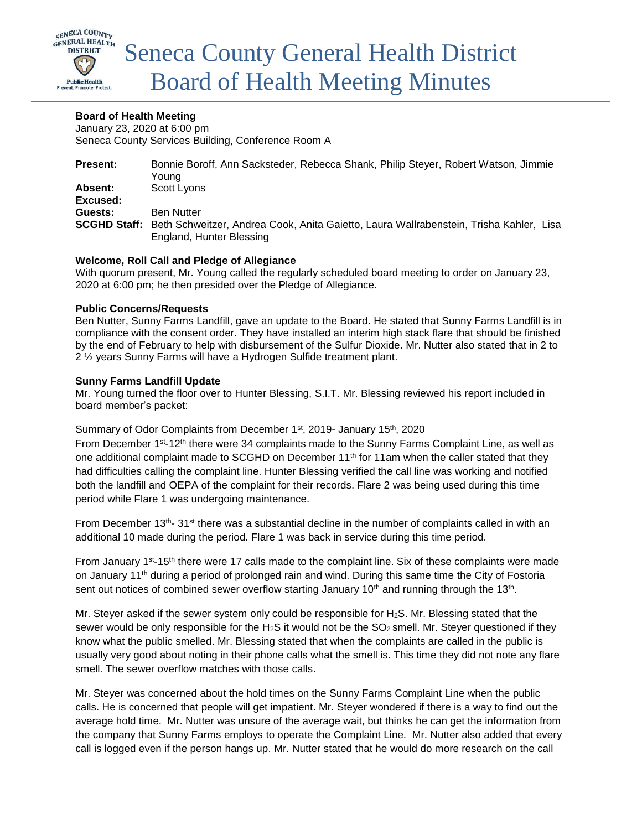

# **Board of Health Meeting**

January 23, 2020 at 6:00 pm Seneca County Services Building, Conference Room A

| <b>Present:</b>     | Bonnie Boroff, Ann Sacksteder, Rebecca Shank, Philip Steyer, Robert Watson, Jimmie<br>Young |
|---------------------|---------------------------------------------------------------------------------------------|
| Absent:             | Scott Lyons                                                                                 |
| Excused:            |                                                                                             |
| Guests:             | <b>Ben Nutter</b>                                                                           |
| <b>SCGHD Staff:</b> | Beth Schweitzer, Andrea Cook, Anita Gaietto, Laura Wallrabenstein, Trisha Kahler, Lisa      |
|                     | England, Hunter Blessing                                                                    |

### **Welcome, Roll Call and Pledge of Allegiance**

With quorum present, Mr. Young called the regularly scheduled board meeting to order on January 23, 2020 at 6:00 pm; he then presided over the Pledge of Allegiance.

#### **Public Concerns/Requests**

Ben Nutter, Sunny Farms Landfill, gave an update to the Board. He stated that Sunny Farms Landfill is in compliance with the consent order. They have installed an interim high stack flare that should be finished by the end of February to help with disbursement of the Sulfur Dioxide. Mr. Nutter also stated that in 2 to 2 ½ years Sunny Farms will have a Hydrogen Sulfide treatment plant.

#### **Sunny Farms Landfill Update**

Mr. Young turned the floor over to Hunter Blessing, S.I.T. Mr. Blessing reviewed his report included in board member's packet:

Summary of Odor Complaints from December 1<sup>st</sup>, 2019- January 15<sup>th</sup>, 2020

From December 1<sup>st</sup>-12<sup>th</sup> there were 34 complaints made to the Sunny Farms Complaint Line, as well as one additional complaint made to SCGHD on December  $11<sup>th</sup>$  for 11am when the caller stated that they had difficulties calling the complaint line. Hunter Blessing verified the call line was working and notified both the landfill and OEPA of the complaint for their records. Flare 2 was being used during this time period while Flare 1 was undergoing maintenance.

From December 13<sup>th</sup>- 31<sup>st</sup> there was a substantial decline in the number of complaints called in with an additional 10 made during the period. Flare 1 was back in service during this time period.

From January 1st-15th there were 17 calls made to the complaint line. Six of these complaints were made on January 11th during a period of prolonged rain and wind. During this same time the City of Fostoria sent out notices of combined sewer overflow starting January 10<sup>th</sup> and running through the 13<sup>th</sup>.

Mr. Steyer asked if the sewer system only could be responsible for  $H_2S$ . Mr. Blessing stated that the sewer would be only responsible for the H<sub>2</sub>S it would not be the  $SO<sub>2</sub>$  smell. Mr. Steyer questioned if they know what the public smelled. Mr. Blessing stated that when the complaints are called in the public is usually very good about noting in their phone calls what the smell is. This time they did not note any flare smell. The sewer overflow matches with those calls.

Mr. Steyer was concerned about the hold times on the Sunny Farms Complaint Line when the public calls. He is concerned that people will get impatient. Mr. Steyer wondered if there is a way to find out the average hold time. Mr. Nutter was unsure of the average wait, but thinks he can get the information from the company that Sunny Farms employs to operate the Complaint Line. Mr. Nutter also added that every call is logged even if the person hangs up. Mr. Nutter stated that he would do more research on the call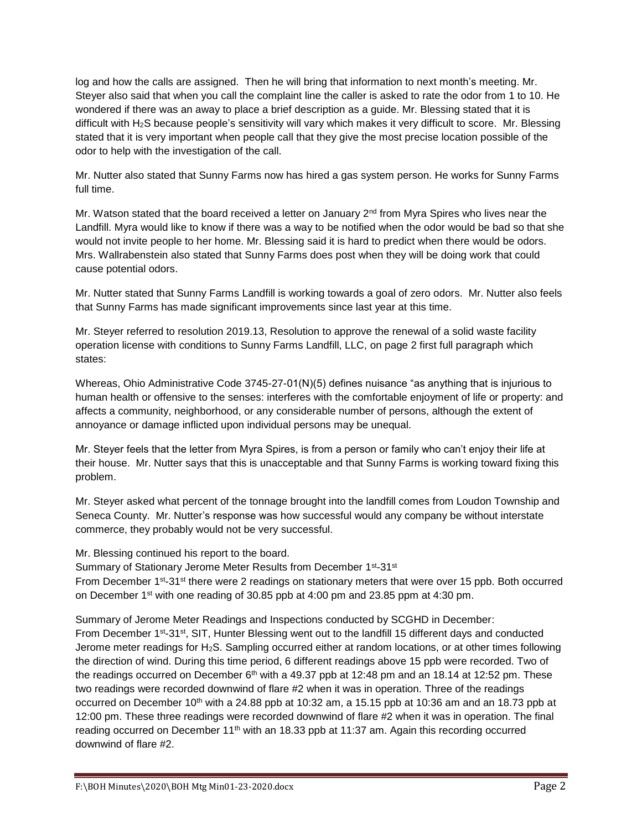log and how the calls are assigned. Then he will bring that information to next month's meeting. Mr. Steyer also said that when you call the complaint line the caller is asked to rate the odor from 1 to 10. He wondered if there was an away to place a brief description as a guide. Mr. Blessing stated that it is difficult with H2S because people's sensitivity will vary which makes it very difficult to score. Mr. Blessing stated that it is very important when people call that they give the most precise location possible of the odor to help with the investigation of the call.

Mr. Nutter also stated that Sunny Farms now has hired a gas system person. He works for Sunny Farms full time.

Mr. Watson stated that the board received a letter on January 2<sup>nd</sup> from Myra Spires who lives near the Landfill. Myra would like to know if there was a way to be notified when the odor would be bad so that she would not invite people to her home. Mr. Blessing said it is hard to predict when there would be odors. Mrs. Wallrabenstein also stated that Sunny Farms does post when they will be doing work that could cause potential odors.

Mr. Nutter stated that Sunny Farms Landfill is working towards a goal of zero odors. Mr. Nutter also feels that Sunny Farms has made significant improvements since last year at this time.

Mr. Steyer referred to resolution 2019.13, Resolution to approve the renewal of a solid waste facility operation license with conditions to Sunny Farms Landfill, LLC, on page 2 first full paragraph which states:

Whereas, Ohio Administrative Code 3745-27-01(N)(5) defines nuisance "as anything that is injurious to human health or offensive to the senses: interferes with the comfortable enjoyment of life or property: and affects a community, neighborhood, or any considerable number of persons, although the extent of annoyance or damage inflicted upon individual persons may be unequal.

Mr. Steyer feels that the letter from Myra Spires, is from a person or family who can't enjoy their life at their house. Mr. Nutter says that this is unacceptable and that Sunny Farms is working toward fixing this problem.

Mr. Steyer asked what percent of the tonnage brought into the landfill comes from Loudon Township and Seneca County. Mr. Nutter's response was how successful would any company be without interstate commerce, they probably would not be very successful.

Mr. Blessing continued his report to the board.

Summary of Stationary Jerome Meter Results from December 1st-31st

From December 1st-31st there were 2 readings on stationary meters that were over 15 ppb. Both occurred on December 1st with one reading of 30.85 ppb at 4:00 pm and 23.85 ppm at 4:30 pm.

Summary of Jerome Meter Readings and Inspections conducted by SCGHD in December: From December 1st-31st, SIT, Hunter Blessing went out to the landfill 15 different days and conducted Jerome meter readings for H2S. Sampling occurred either at random locations, or at other times following the direction of wind. During this time period, 6 different readings above 15 ppb were recorded. Two of the readings occurred on December  $6<sup>th</sup>$  with a 49.37 ppb at 12:48 pm and an 18.14 at 12:52 pm. These two readings were recorded downwind of flare #2 when it was in operation. Three of the readings occurred on December 10th with a 24.88 ppb at 10:32 am, a 15.15 ppb at 10:36 am and an 18.73 ppb at 12:00 pm. These three readings were recorded downwind of flare #2 when it was in operation. The final reading occurred on December 11<sup>th</sup> with an 18.33 ppb at 11:37 am. Again this recording occurred downwind of flare #2.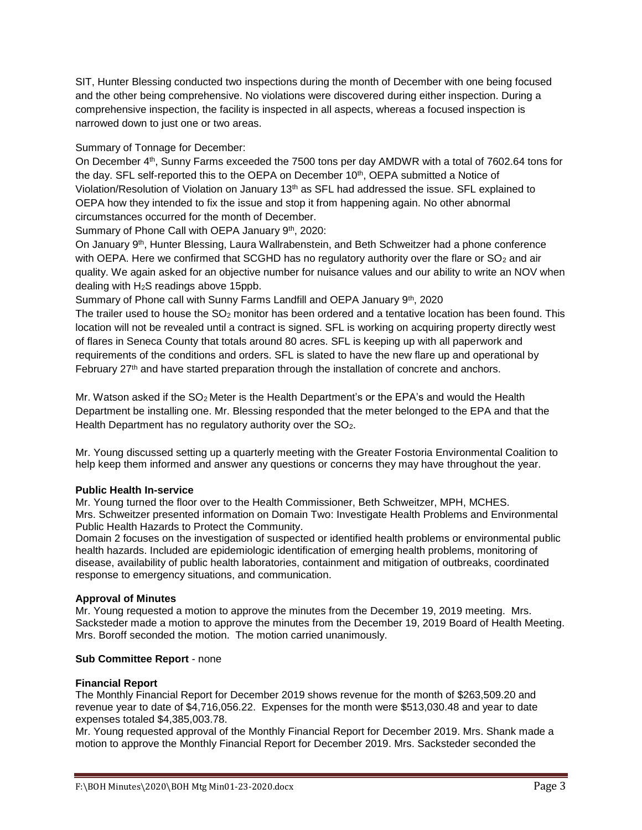SIT, Hunter Blessing conducted two inspections during the month of December with one being focused and the other being comprehensive. No violations were discovered during either inspection. During a comprehensive inspection, the facility is inspected in all aspects, whereas a focused inspection is narrowed down to just one or two areas.

Summary of Tonnage for December:

On December 4th, Sunny Farms exceeded the 7500 tons per day AMDWR with a total of 7602.64 tons for the day. SFL self-reported this to the OEPA on December 10<sup>th</sup>, OEPA submitted a Notice of Violation/Resolution of Violation on January 13th as SFL had addressed the issue. SFL explained to OEPA how they intended to fix the issue and stop it from happening again. No other abnormal circumstances occurred for the month of December.

Summary of Phone Call with OEPA January 9th, 2020:

On January 9th, Hunter Blessing, Laura Wallrabenstein, and Beth Schweitzer had a phone conference with OEPA. Here we confirmed that SCGHD has no regulatory authority over the flare or  $SO<sub>2</sub>$  and air quality. We again asked for an objective number for nuisance values and our ability to write an NOV when dealing with H2S readings above 15ppb.

Summary of Phone call with Sunny Farms Landfill and OEPA January 9<sup>th</sup>, 2020

The trailer used to house the SO<sub>2</sub> monitor has been ordered and a tentative location has been found. This location will not be revealed until a contract is signed. SFL is working on acquiring property directly west of flares in Seneca County that totals around 80 acres. SFL is keeping up with all paperwork and requirements of the conditions and orders. SFL is slated to have the new flare up and operational by February 27<sup>th</sup> and have started preparation through the installation of concrete and anchors.

Mr. Watson asked if the SO2 Meter is the Health Department's or the EPA's and would the Health Department be installing one. Mr. Blessing responded that the meter belonged to the EPA and that the Health Department has no regulatory authority over the SO<sub>2</sub>.

Mr. Young discussed setting up a quarterly meeting with the Greater Fostoria Environmental Coalition to help keep them informed and answer any questions or concerns they may have throughout the year.

# **Public Health In-service**

Mr. Young turned the floor over to the Health Commissioner, Beth Schweitzer, MPH, MCHES. Mrs. Schweitzer presented information on Domain Two: Investigate Health Problems and Environmental Public Health Hazards to Protect the Community.

Domain 2 focuses on the investigation of suspected or identified health problems or environmental public health hazards. Included are epidemiologic identification of emerging health problems, monitoring of disease, availability of public health laboratories, containment and mitigation of outbreaks, coordinated response to emergency situations, and communication.

# **Approval of Minutes**

Mr. Young requested a motion to approve the minutes from the December 19, 2019 meeting. Mrs. Sacksteder made a motion to approve the minutes from the December 19, 2019 Board of Health Meeting. Mrs. Boroff seconded the motion. The motion carried unanimously.

# **Sub Committee Report** - none

# **Financial Report**

The Monthly Financial Report for December 2019 shows revenue for the month of \$263,509.20 and revenue year to date of \$4,716,056.22. Expenses for the month were \$513,030.48 and year to date expenses totaled \$4,385,003.78.

Mr. Young requested approval of the Monthly Financial Report for December 2019. Mrs. Shank made a motion to approve the Monthly Financial Report for December 2019. Mrs. Sacksteder seconded the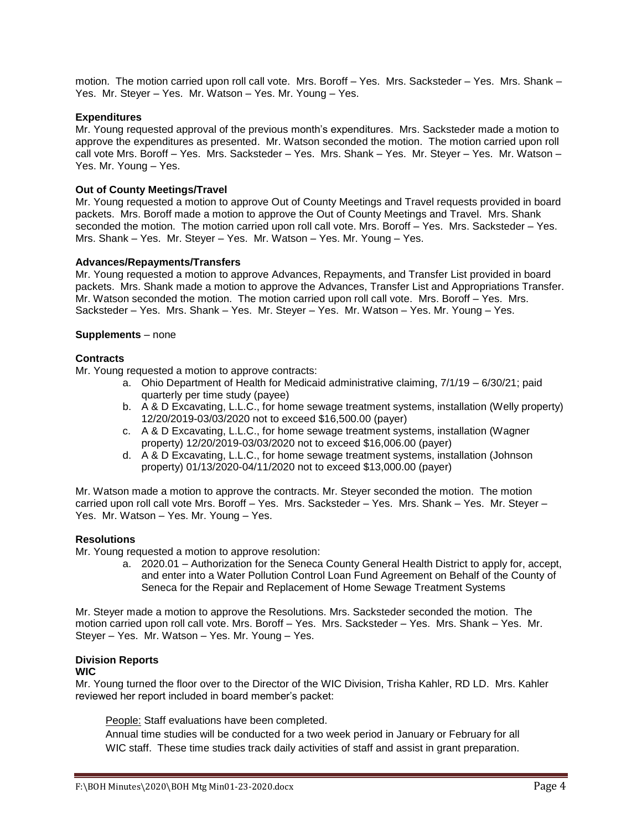motion. The motion carried upon roll call vote. Mrs. Boroff – Yes. Mrs. Sacksteder – Yes. Mrs. Shank – Yes. Mr. Steyer – Yes. Mr. Watson – Yes. Mr. Young – Yes.

#### **Expenditures**

Mr. Young requested approval of the previous month's expenditures. Mrs. Sacksteder made a motion to approve the expenditures as presented. Mr. Watson seconded the motion. The motion carried upon roll call vote Mrs. Boroff – Yes. Mrs. Sacksteder – Yes. Mrs. Shank – Yes. Mr. Steyer – Yes. Mr. Watson – Yes. Mr. Young – Yes.

#### **Out of County Meetings/Travel**

Mr. Young requested a motion to approve Out of County Meetings and Travel requests provided in board packets. Mrs. Boroff made a motion to approve the Out of County Meetings and Travel. Mrs. Shank seconded the motion. The motion carried upon roll call vote. Mrs. Boroff – Yes. Mrs. Sacksteder – Yes. Mrs. Shank – Yes. Mr. Steyer – Yes. Mr. Watson – Yes. Mr. Young – Yes.

#### **Advances/Repayments/Transfers**

Mr. Young requested a motion to approve Advances, Repayments, and Transfer List provided in board packets. Mrs. Shank made a motion to approve the Advances, Transfer List and Appropriations Transfer. Mr. Watson seconded the motion. The motion carried upon roll call vote. Mrs. Boroff – Yes. Mrs. Sacksteder – Yes. Mrs. Shank – Yes. Mr. Steyer – Yes. Mr. Watson – Yes. Mr. Young – Yes.

#### **Supplements** – none

#### **Contracts**

Mr. Young requested a motion to approve contracts:

- a. Ohio Department of Health for Medicaid administrative claiming, 7/1/19 6/30/21; paid quarterly per time study (payee)
- b. A & D Excavating, L.L.C., for home sewage treatment systems, installation (Welly property) 12/20/2019-03/03/2020 not to exceed \$16,500.00 (payer)
- c. A & D Excavating, L.L.C., for home sewage treatment systems, installation (Wagner property) 12/20/2019-03/03/2020 not to exceed \$16,006.00 (payer)
- d. A & D Excavating, L.L.C., for home sewage treatment systems, installation (Johnson property) 01/13/2020-04/11/2020 not to exceed \$13,000.00 (payer)

Mr. Watson made a motion to approve the contracts. Mr. Steyer seconded the motion. The motion carried upon roll call vote Mrs. Boroff – Yes. Mrs. Sacksteder – Yes. Mrs. Shank – Yes. Mr. Steyer – Yes. Mr. Watson – Yes. Mr. Young – Yes.

#### **Resolutions**

Mr. Young requested a motion to approve resolution:

a. 2020.01 – Authorization for the Seneca County General Health District to apply for, accept, and enter into a Water Pollution Control Loan Fund Agreement on Behalf of the County of Seneca for the Repair and Replacement of Home Sewage Treatment Systems

Mr. Steyer made a motion to approve the Resolutions. Mrs. Sacksteder seconded the motion. The motion carried upon roll call vote. Mrs. Boroff – Yes. Mrs. Sacksteder – Yes. Mrs. Shank – Yes. Mr. Steyer – Yes. Mr. Watson – Yes. Mr. Young – Yes.

# **Division Reports**

# **WIC**

Mr. Young turned the floor over to the Director of the WIC Division, Trisha Kahler, RD LD. Mrs. Kahler reviewed her report included in board member's packet:

People: Staff evaluations have been completed.

Annual time studies will be conducted for a two week period in January or February for all WIC staff. These time studies track daily activities of staff and assist in grant preparation.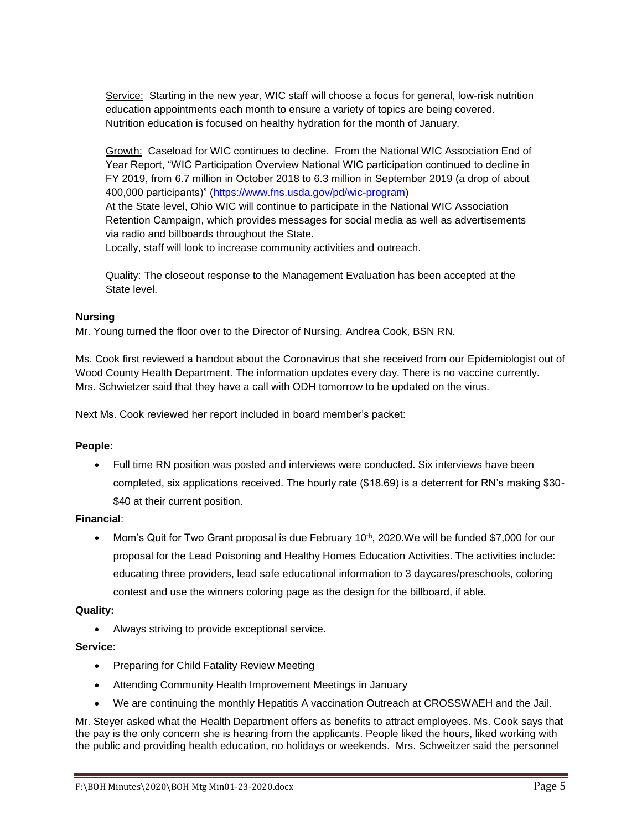Service: Starting in the new year, WIC staff will choose a focus for general, low-risk nutrition education appointments each month to ensure a variety of topics are being covered. Nutrition education is focused on healthy hydration for the month of January.

Growth: Caseload for WIC continues to decline. From the National WIC Association End of Year Report, "WIC Participation Overview National WIC participation continued to decline in FY 2019, from 6.7 million in October 2018 to 6.3 million in September 2019 (a drop of about 400,000 participants)" [\(https://www.fns.usda.gov/pd/wic-program\)](https://www.fns.usda.gov/pd/wic-program) At the State level, Ohio WIC will continue to participate in the National WIC Association Retention Campaign, which provides messages for social media as well as advertisements via radio and billboards throughout the State.

Locally, staff will look to increase community activities and outreach.

Quality: The closeout response to the Management Evaluation has been accepted at the State level.

# **Nursing**

Mr. Young turned the floor over to the Director of Nursing, Andrea Cook, BSN RN.

Ms. Cook first reviewed a handout about the Coronavirus that she received from our Epidemiologist out of Wood County Health Department. The information updates every day. There is no vaccine currently. Mrs. Schwietzer said that they have a call with ODH tomorrow to be updated on the virus.

Next Ms. Cook reviewed her report included in board member's packet:

# **People:**

 Full time RN position was posted and interviews were conducted. Six interviews have been completed, six applications received. The hourly rate (\$18.69) is a deterrent for RN's making \$30- \$40 at their current position.

# **Financial**:

 $\bullet$  Mom's Quit for Two Grant proposal is due February 10<sup>th</sup>, 2020. We will be funded \$7,000 for our proposal for the Lead Poisoning and Healthy Homes Education Activities. The activities include: educating three providers, lead safe educational information to 3 daycares/preschools, coloring contest and use the winners coloring page as the design for the billboard, if able.

#### **Quality:**

Always striving to provide exceptional service.

# **Service:**

- Preparing for Child Fatality Review Meeting
- Attending Community Health Improvement Meetings in January
- We are continuing the monthly Hepatitis A vaccination Outreach at CROSSWAEH and the Jail.

Mr. Steyer asked what the Health Department offers as benefits to attract employees. Ms. Cook says that the pay is the only concern she is hearing from the applicants. People liked the hours, liked working with the public and providing health education, no holidays or weekends. Mrs. Schweitzer said the personnel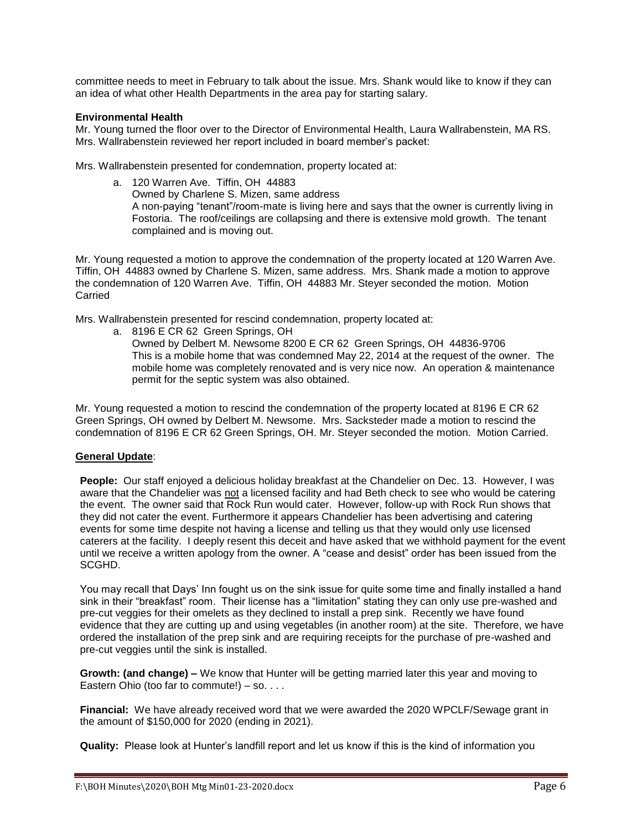committee needs to meet in February to talk about the issue. Mrs. Shank would like to know if they can an idea of what other Health Departments in the area pay for starting salary.

### **Environmental Health**

Mr. Young turned the floor over to the Director of Environmental Health, Laura Wallrabenstein, MA RS. Mrs. Wallrabenstein reviewed her report included in board member's packet:

Mrs. Wallrabenstein presented for condemnation, property located at:

a. 120 Warren Ave. Tiffin, OH 44883 Owned by Charlene S. Mizen, same address A non-paying "tenant"/room-mate is living here and says that the owner is currently living in Fostoria. The roof/ceilings are collapsing and there is extensive mold growth. The tenant complained and is moving out.

Mr. Young requested a motion to approve the condemnation of the property located at 120 Warren Ave. Tiffin, OH 44883 owned by Charlene S. Mizen, same address. Mrs. Shank made a motion to approve the condemnation of 120 Warren Ave. Tiffin, OH 44883 Mr. Steyer seconded the motion. Motion Carried

Mrs. Wallrabenstein presented for rescind condemnation, property located at:

a. 8196 E CR 62 Green Springs, OH

Owned by Delbert M. Newsome 8200 E CR 62 Green Springs, OH 44836-9706 This is a mobile home that was condemned May 22, 2014 at the request of the owner. The mobile home was completely renovated and is very nice now. An operation & maintenance permit for the septic system was also obtained.

Mr. Young requested a motion to rescind the condemnation of the property located at 8196 E CR 62 Green Springs, OH owned by Delbert M. Newsome. Mrs. Sacksteder made a motion to rescind the condemnation of 8196 E CR 62 Green Springs, OH. Mr. Steyer seconded the motion. Motion Carried.

# **General Update**:

**People:** Our staff enjoyed a delicious holiday breakfast at the Chandelier on Dec. 13. However, I was aware that the Chandelier was not a licensed facility and had Beth check to see who would be catering the event. The owner said that Rock Run would cater. However, follow-up with Rock Run shows that they did not cater the event. Furthermore it appears Chandelier has been advertising and catering events for some time despite not having a license and telling us that they would only use licensed caterers at the facility. I deeply resent this deceit and have asked that we withhold payment for the event until we receive a written apology from the owner. A "cease and desist" order has been issued from the SCGHD.

You may recall that Days' Inn fought us on the sink issue for quite some time and finally installed a hand sink in their "breakfast" room. Their license has a "limitation" stating they can only use pre-washed and pre-cut veggies for their omelets as they declined to install a prep sink. Recently we have found evidence that they are cutting up and using vegetables (in another room) at the site. Therefore, we have ordered the installation of the prep sink and are requiring receipts for the purchase of pre-washed and pre-cut veggies until the sink is installed.

**Growth: (and change) –** We know that Hunter will be getting married later this year and moving to Eastern Ohio (too far to commute!) – so. . . .

**Financial:** We have already received word that we were awarded the 2020 WPCLF/Sewage grant in the amount of \$150,000 for 2020 (ending in 2021).

**Quality:** Please look at Hunter's landfill report and let us know if this is the kind of information you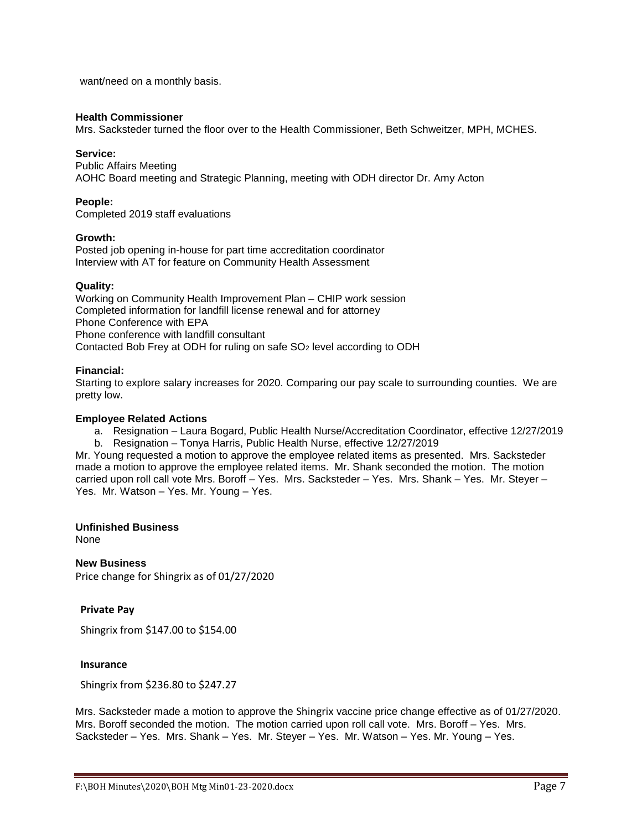want/need on a monthly basis.

#### **Health Commissioner**

Mrs. Sacksteder turned the floor over to the Health Commissioner, Beth Schweitzer, MPH, MCHES.

### **Service:**

Public Affairs Meeting AOHC Board meeting and Strategic Planning, meeting with ODH director Dr. Amy Acton

### **People:**

Completed 2019 staff evaluations

#### **Growth:**

Posted job opening in-house for part time accreditation coordinator Interview with AT for feature on Community Health Assessment

### **Quality:**

Working on Community Health Improvement Plan – CHIP work session Completed information for landfill license renewal and for attorney Phone Conference with EPA Phone conference with landfill consultant Contacted Bob Frey at ODH for ruling on safe  $SO<sub>2</sub>$  level according to ODH

### **Financial:**

Starting to explore salary increases for 2020. Comparing our pay scale to surrounding counties. We are pretty low.

#### **Employee Related Actions**

a. Resignation – Laura Bogard, Public Health Nurse/Accreditation Coordinator, effective 12/27/2019

b. Resignation – Tonya Harris, Public Health Nurse, effective 12/27/2019

Mr. Young requested a motion to approve the employee related items as presented. Mrs. Sacksteder made a motion to approve the employee related items. Mr. Shank seconded the motion. The motion carried upon roll call vote Mrs. Boroff – Yes. Mrs. Sacksteder – Yes. Mrs. Shank – Yes. Mr. Steyer – Yes. Mr. Watson – Yes. Mr. Young – Yes.

# **Unfinished Business**

None

**New Business** Price change for Shingrix as of 01/27/2020

#### **Private Pay**

Shingrix from \$147.00 to \$154.00

#### **Insurance**

Shingrix from \$236.80 to \$247.27

Mrs. Sacksteder made a motion to approve the Shingrix vaccine price change effective as of 01/27/2020. Mrs. Boroff seconded the motion. The motion carried upon roll call vote. Mrs. Boroff – Yes. Mrs. Sacksteder – Yes. Mrs. Shank – Yes. Mr. Steyer – Yes. Mr. Watson – Yes. Mr. Young – Yes.